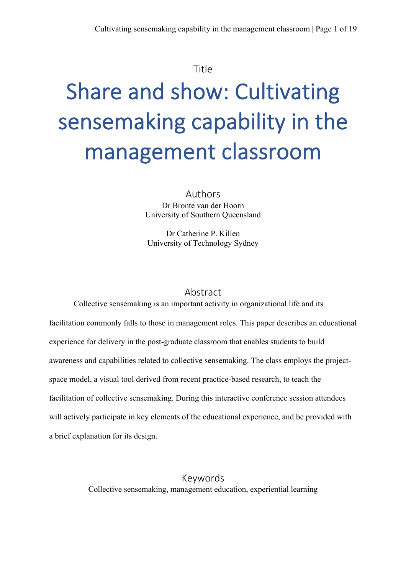#### Title

# Share and show: Cultivating sensemaking capability in the management classroom

Authors Dr Bronte van der Hoorn University of Southern Queensland

Dr Catherine P. Killen University of Technology Sydney

#### Abstract

Collective sensemaking is an important activity in organizational life and its facilitation commonly falls to those in management roles. This paper describes an educational experience for delivery in the post-graduate classroom that enables students to build awareness and capabilities related to collective sensemaking. The class employs the projectspace model, a visual tool derived from recent practice-based research, to teach the facilitation of collective sensemaking. During this interactive conference session attendees will actively participate in key elements of the educational experience, and be provided with a brief explanation for its design.

> Keywords Collective sensemaking, management education, experiential learning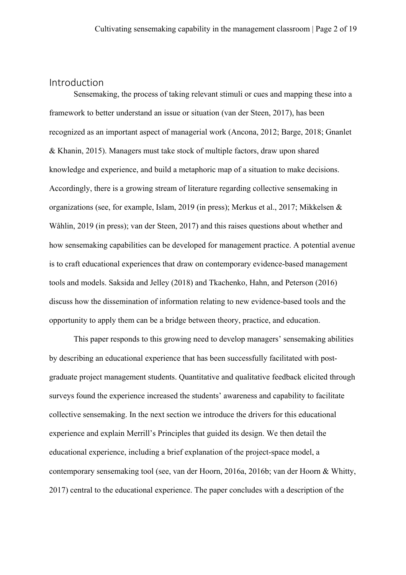# Introduction

Sensemaking, the process of taking relevant stimuli or cues and mapping these into a framework to better understand an issue or situation (van der Steen, 2017), has been recognized as an important aspect of managerial work (Ancona, 2012; Barge, 2018; Gnanlet & Khanin, 2015). Managers must take stock of multiple factors, draw upon shared knowledge and experience, and build a metaphoric map of a situation to make decisions. Accordingly, there is a growing stream of literature regarding collective sensemaking in organizations (see, for example, Islam, 2019 (in press); Merkus et al., 2017; Mikkelsen & Wåhlin, 2019 (in press); van der Steen, 2017) and this raises questions about whether and how sensemaking capabilities can be developed for management practice. A potential avenue is to craft educational experiences that draw on contemporary evidence-based management tools and models. Saksida and Jelley (2018) and Tkachenko, Hahn, and Peterson (2016) discuss how the dissemination of information relating to new evidence-based tools and the opportunity to apply them can be a bridge between theory, practice, and education.

This paper responds to this growing need to develop managers' sensemaking abilities by describing an educational experience that has been successfully facilitated with postgraduate project management students. Quantitative and qualitative feedback elicited through surveys found the experience increased the students' awareness and capability to facilitate collective sensemaking. In the next section we introduce the drivers for this educational experience and explain Merrill's Principles that guided its design. We then detail the educational experience, including a brief explanation of the project-space model, a contemporary sensemaking tool (see, van der Hoorn, 2016a, 2016b; van der Hoorn & Whitty, 2017) central to the educational experience. The paper concludes with a description of the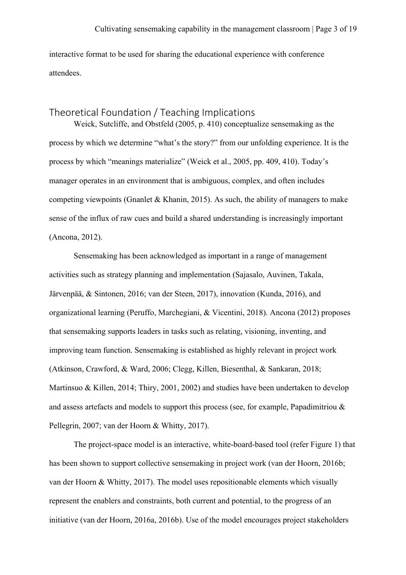interactive format to be used for sharing the educational experience with conference attendees.

# Theoretical Foundation / Teaching Implications

Weick, Sutcliffe, and Obstfeld (2005, p. 410) conceptualize sensemaking as the process by which we determine "what's the story?" from our unfolding experience. It is the process by which "meanings materialize" (Weick et al., 2005, pp. 409, 410). Today's manager operates in an environment that is ambiguous, complex, and often includes competing viewpoints (Gnanlet & Khanin, 2015). As such, the ability of managers to make sense of the influx of raw cues and build a shared understanding is increasingly important (Ancona, 2012).

Sensemaking has been acknowledged as important in a range of management activities such as strategy planning and implementation (Sajasalo, Auvinen, Takala, Järvenpää, & Sintonen, 2016; van der Steen, 2017), innovation (Kunda, 2016), and organizational learning (Peruffo, Marchegiani, & Vicentini, 2018). Ancona (2012) proposes that sensemaking supports leaders in tasks such as relating, visioning, inventing, and improving team function. Sensemaking is established as highly relevant in project work (Atkinson, Crawford, & Ward, 2006; Clegg, Killen, Biesenthal, & Sankaran, 2018; Martinsuo & Killen, 2014; Thiry, 2001, 2002) and studies have been undertaken to develop and assess artefacts and models to support this process (see, for example, Papadimitriou & Pellegrin, 2007; van der Hoorn & Whitty, 2017).

The project-space model is an interactive, white-board-based tool (refer Figure 1) that has been shown to support collective sensemaking in project work (van der Hoorn, 2016b; van der Hoorn & Whitty, 2017). The model uses repositionable elements which visually represent the enablers and constraints, both current and potential, to the progress of an initiative (van der Hoorn, 2016a, 2016b). Use of the model encourages project stakeholders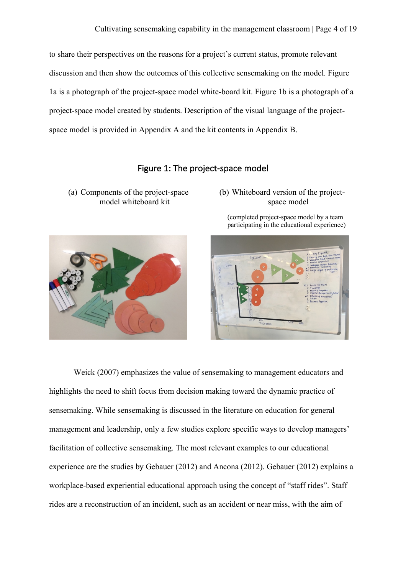to share their perspectives on the reasons for a project's current status, promote relevant discussion and then show the outcomes of this collective sensemaking on the model. Figure 1a is a photograph of the project-space model white-board kit. Figure 1b is a photograph of a project-space model created by students. Description of the visual language of the projectspace model is provided in Appendix A and the kit contents in Appendix B.

## Figure 1: The project-space model

(a) Components of the project-space model whiteboard kit



#### (b) Whiteboard version of the projectspace model

(completed project-space model by a team participating in the educational experience)



Weick (2007) emphasizes the value of sensemaking to management educators and highlights the need to shift focus from decision making toward the dynamic practice of sensemaking. While sensemaking is discussed in the literature on education for general management and leadership, only a few studies explore specific ways to develop managers' facilitation of collective sensemaking. The most relevant examples to our educational experience are the studies by Gebauer (2012) and Ancona (2012). Gebauer (2012) explains a workplace-based experiential educational approach using the concept of "staff rides". Staff rides are a reconstruction of an incident, such as an accident or near miss, with the aim of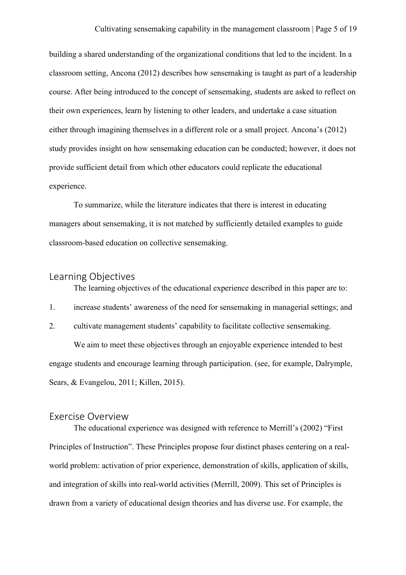building a shared understanding of the organizational conditions that led to the incident. In a classroom setting, Ancona (2012) describes how sensemaking is taught as part of a leadership course. After being introduced to the concept of sensemaking, students are asked to reflect on their own experiences, learn by listening to other leaders, and undertake a case situation either through imagining themselves in a different role or a small project. Ancona's (2012) study provides insight on how sensemaking education can be conducted; however, it does not provide sufficient detail from which other educators could replicate the educational experience.

To summarize, while the literature indicates that there is interest in educating managers about sensemaking, it is not matched by sufficiently detailed examples to guide classroom-based education on collective sensemaking.

## Learning Objectives

The learning objectives of the educational experience described in this paper are to:

- 1. increase students' awareness of the need for sensemaking in managerial settings; and
- 2. cultivate management students' capability to facilitate collective sensemaking.

We aim to meet these objectives through an enjoyable experience intended to best engage students and encourage learning through participation. (see, for example, Dalrymple, Sears, & Evangelou, 2011; Killen, 2015).

#### Exercise Overview

The educational experience was designed with reference to Merrill's (2002) "First Principles of Instruction". These Principles propose four distinct phases centering on a realworld problem: activation of prior experience, demonstration of skills, application of skills, and integration of skills into real-world activities (Merrill, 2009). This set of Principles is drawn from a variety of educational design theories and has diverse use. For example, the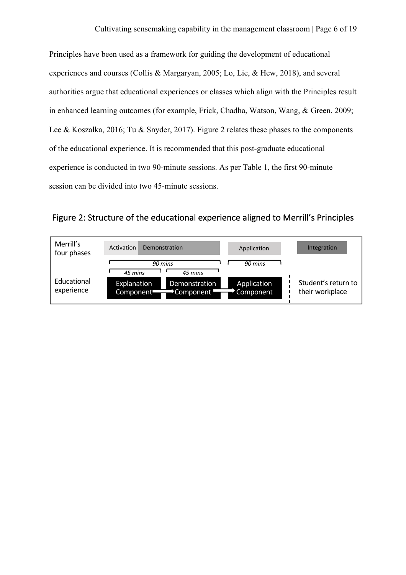Principles have been used as a framework for guiding the development of educational experiences and courses (Collis & Margaryan, 2005; Lo, Lie, & Hew, 2018), and several authorities argue that educational experiences or classes which align with the Principles result in enhanced learning outcomes (for example, Frick, Chadha, Watson, Wang, & Green, 2009; Lee & Koszalka, 2016; Tu & Snyder, 2017). Figure 2 relates these phases to the components of the educational experience. It is recommended that this post-graduate educational experience is conducted in two 90-minute sessions. As per Table 1, the first 90-minute session can be divided into two 45-minute sessions.

Figure 2: Structure of the educational experience aligned to Merrill's Principles

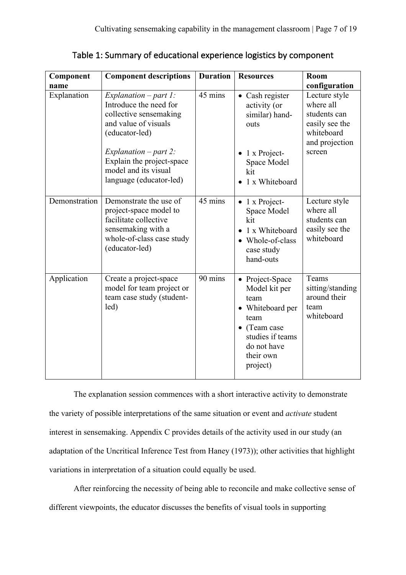Table 1: Summary of educational experience logistics by component

| Component           | <b>Component descriptions</b>                                                                                                                                                                                                    | <b>Duration</b> | <b>Resources</b>                                                                                                                                         | Room                                                                                                                    |
|---------------------|----------------------------------------------------------------------------------------------------------------------------------------------------------------------------------------------------------------------------------|-----------------|----------------------------------------------------------------------------------------------------------------------------------------------------------|-------------------------------------------------------------------------------------------------------------------------|
| name<br>Explanation | Explanation $-part 1$ :<br>Introduce the need for<br>collective sensemaking<br>and value of visuals<br>(educator-led)<br>Explanation $-p$ art 2:<br>Explain the project-space<br>model and its visual<br>language (educator-led) | 45 mins         | • Cash register<br>activity (or<br>similar) hand-<br>outs<br>$\bullet$ 1 x Project-<br>Space Model<br>kit<br>• 1 x Whiteboard                            | configuration<br>Lecture style<br>where all<br>students can<br>easily see the<br>whiteboard<br>and projection<br>screen |
| Demonstration       | Demonstrate the use of<br>project-space model to<br>facilitate collective<br>sensemaking with a<br>whole-of-class case study<br>(educator-led)                                                                                   | 45 mins         | 1 x Project-<br>Space Model<br>kit<br>1 x Whiteboard<br>• Whole-of-class<br>case study<br>hand-outs                                                      | Lecture style<br>where all<br>students can<br>easily see the<br>whiteboard                                              |
| Application         | Create a project-space<br>model for team project or<br>team case study (student-<br>led)                                                                                                                                         | 90 mins         | • Project-Space<br>Model kit per<br>team<br>• Whiteboard per<br>team<br>$\bullet$ (Team case<br>studies if teams<br>do not have<br>their own<br>project) | Teams<br>sitting/standing<br>around their<br>team<br>whiteboard                                                         |

The explanation session commences with a short interactive activity to demonstrate the variety of possible interpretations of the same situation or event and *activate* student interest in sensemaking. Appendix C provides details of the activity used in our study (an adaptation of the Uncritical Inference Test from Haney (1973)); other activities that highlight variations in interpretation of a situation could equally be used.

After reinforcing the necessity of being able to reconcile and make collective sense of different viewpoints, the educator discusses the benefits of visual tools in supporting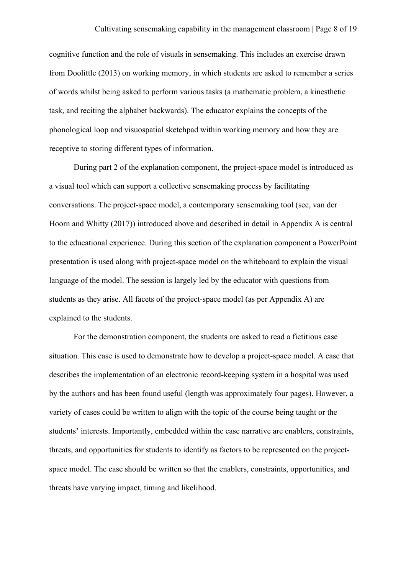cognitive function and the role of visuals in sensemaking. This includes an exercise drawn from Doolittle (2013) on working memory, in which students are asked to remember a series of words whilst being asked to perform various tasks (a mathematic problem, a kinesthetic task, and reciting the alphabet backwards). The educator explains the concepts of the phonological loop and visuospatial sketchpad within working memory and how they are receptive to storing different types of information.

During part 2 of the explanation component, the project-space model is introduced as a visual tool which can support a collective sensemaking process by facilitating conversations. The project-space model, a contemporary sensemaking tool (see, van der Hoorn and Whitty (2017)) introduced above and described in detail in Appendix A is central to the educational experience. During this section of the explanation component a PowerPoint presentation is used along with project-space model on the whiteboard to explain the visual language of the model. The session is largely led by the educator with questions from students as they arise. All facets of the project-space model (as per Appendix A) are explained to the students.

For the demonstration component, the students are asked to read a fictitious case situation. This case is used to demonstrate how to develop a project-space model. A case that describes the implementation of an electronic record-keeping system in a hospital was used by the authors and has been found useful (length was approximately four pages). However, a variety of cases could be written to align with the topic of the course being taught or the students' interests. Importantly, embedded within the case narrative are enablers, constraints, threats, and opportunities for students to identify as factors to be represented on the projectspace model. The case should be written so that the enablers, constraints, opportunities, and threats have varying impact, timing and likelihood.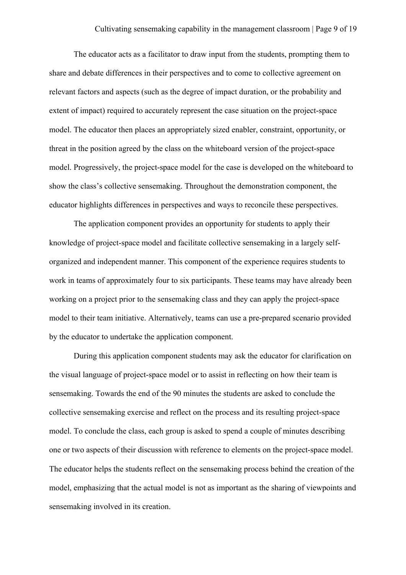The educator acts as a facilitator to draw input from the students, prompting them to share and debate differences in their perspectives and to come to collective agreement on relevant factors and aspects (such as the degree of impact duration, or the probability and extent of impact) required to accurately represent the case situation on the project-space model. The educator then places an appropriately sized enabler, constraint, opportunity, or threat in the position agreed by the class on the whiteboard version of the project-space model. Progressively, the project-space model for the case is developed on the whiteboard to show the class's collective sensemaking. Throughout the demonstration component, the educator highlights differences in perspectives and ways to reconcile these perspectives.

The application component provides an opportunity for students to apply their knowledge of project-space model and facilitate collective sensemaking in a largely selforganized and independent manner. This component of the experience requires students to work in teams of approximately four to six participants. These teams may have already been working on a project prior to the sensemaking class and they can apply the project-space model to their team initiative. Alternatively, teams can use a pre-prepared scenario provided by the educator to undertake the application component.

During this application component students may ask the educator for clarification on the visual language of project-space model or to assist in reflecting on how their team is sensemaking. Towards the end of the 90 minutes the students are asked to conclude the collective sensemaking exercise and reflect on the process and its resulting project-space model. To conclude the class, each group is asked to spend a couple of minutes describing one or two aspects of their discussion with reference to elements on the project-space model. The educator helps the students reflect on the sensemaking process behind the creation of the model, emphasizing that the actual model is not as important as the sharing of viewpoints and sensemaking involved in its creation.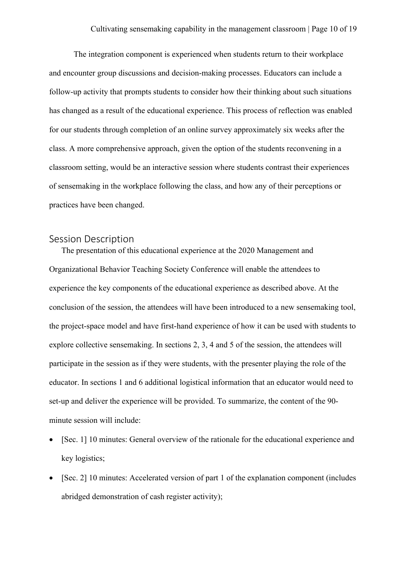The integration component is experienced when students return to their workplace and encounter group discussions and decision-making processes. Educators can include a follow-up activity that prompts students to consider how their thinking about such situations has changed as a result of the educational experience. This process of reflection was enabled for our students through completion of an online survey approximately six weeks after the class. A more comprehensive approach, given the option of the students reconvening in a classroom setting, would be an interactive session where students contrast their experiences of sensemaking in the workplace following the class, and how any of their perceptions or practices have been changed.

## Session Description

The presentation of this educational experience at the 2020 Management and Organizational Behavior Teaching Society Conference will enable the attendees to experience the key components of the educational experience as described above. At the conclusion of the session, the attendees will have been introduced to a new sensemaking tool, the project-space model and have first-hand experience of how it can be used with students to explore collective sensemaking. In sections 2, 3, 4 and 5 of the session, the attendees will participate in the session as if they were students, with the presenter playing the role of the educator. In sections 1 and 6 additional logistical information that an educator would need to set-up and deliver the experience will be provided. To summarize, the content of the 90 minute session will include:

- [Sec. 1] 10 minutes: General overview of the rationale for the educational experience and key logistics;
- [Sec. 2] 10 minutes: Accelerated version of part 1 of the explanation component (includes abridged demonstration of cash register activity);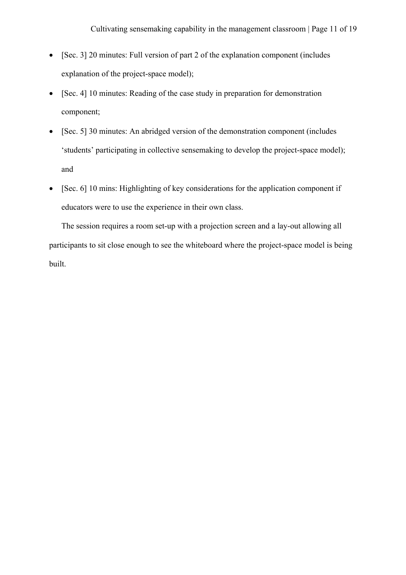- [Sec. 3] 20 minutes: Full version of part 2 of the explanation component (includes explanation of the project-space model);
- [Sec. 4] 10 minutes: Reading of the case study in preparation for demonstration component;
- [Sec. 5] 30 minutes: An abridged version of the demonstration component (includes 'students' participating in collective sensemaking to develop the project-space model); and
- [Sec. 6] 10 mins: Highlighting of key considerations for the application component if educators were to use the experience in their own class.

The session requires a room set-up with a projection screen and a lay-out allowing all participants to sit close enough to see the whiteboard where the project-space model is being built.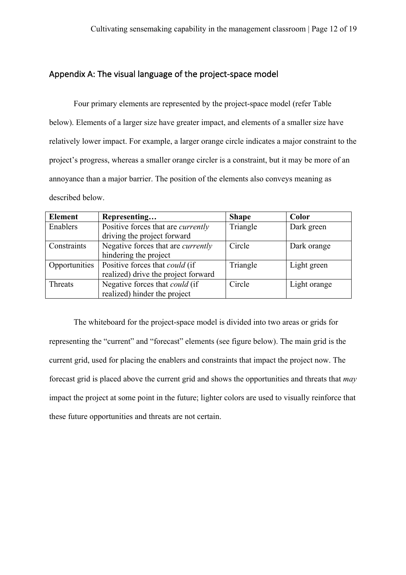## Appendix A: The visual language of the project-space model

Four primary elements are represented by the project-space model (refer Table below). Elements of a larger size have greater impact, and elements of a smaller size have relatively lower impact. For example, a larger orange circle indicates a major constraint to the project's progress, whereas a smaller orange circler is a constraint, but it may be more of an annoyance than a major barrier. The position of the elements also conveys meaning as described below.

| <b>Element</b> | Representing                              | <b>Shape</b> | Color        |
|----------------|-------------------------------------------|--------------|--------------|
| Enablers       | Positive forces that are <i>currently</i> | Triangle     | Dark green   |
|                | driving the project forward               |              |              |
| Constraints    | Negative forces that are <i>currently</i> | Circle       | Dark orange  |
|                | hindering the project                     |              |              |
| Opportunities  | Positive forces that <i>could</i> (if     | Triangle     | Light green  |
|                | realized) drive the project forward       |              |              |
| <b>Threats</b> | Negative forces that <i>could</i> (if     | Circle       | Light orange |
|                | realized) hinder the project              |              |              |

The whiteboard for the project-space model is divided into two areas or grids for representing the "current" and "forecast" elements (see figure below). The main grid is the current grid, used for placing the enablers and constraints that impact the project now. The forecast grid is placed above the current grid and shows the opportunities and threats that *may* impact the project at some point in the future; lighter colors are used to visually reinforce that these future opportunities and threats are not certain.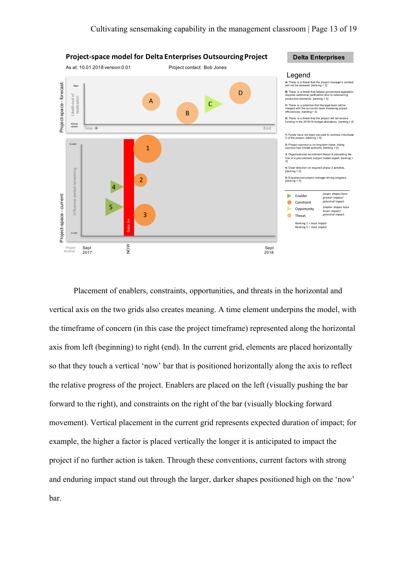

Placement of enablers, constraints, opportunities, and threats in the horizontal and vertical axis on the two grids also creates meaning. A time element underpins the model, with the timeframe of concern (in this case the project timeframe) represented along the horizontal axis from left (beginning) to right (end). In the current grid, elements are placed horizontally so that they touch a vertical 'now' bar that is positioned horizontally along the axis to reflect the relative progress of the project. Enablers are placed on the left (visually pushing the bar forward to the right), and constraints on the right of the bar (visually blocking forward movement). Vertical placement in the current grid represents expected duration of impact; for example, the higher a factor is placed vertically the longer it is anticipated to impact the project if no further action is taken. Through these conventions, current factors with strong and enduring impact stand out through the larger, darker shapes positioned high on the 'now' bar.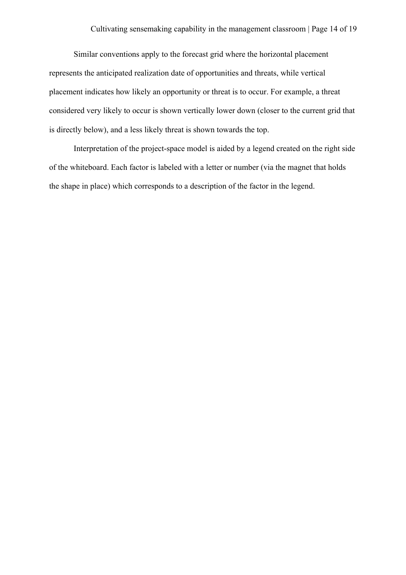Similar conventions apply to the forecast grid where the horizontal placement represents the anticipated realization date of opportunities and threats, while vertical placement indicates how likely an opportunity or threat is to occur. For example, a threat considered very likely to occur is shown vertically lower down (closer to the current grid that is directly below), and a less likely threat is shown towards the top.

Interpretation of the project-space model is aided by a legend created on the right side of the whiteboard. Each factor is labeled with a letter or number (via the magnet that holds the shape in place) which corresponds to a description of the factor in the legend.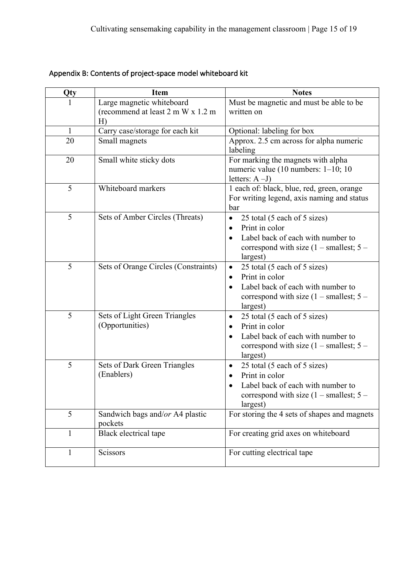| Qty          | <b>Item</b>                                                          | <b>Notes</b>                                                                                                                                                                               |
|--------------|----------------------------------------------------------------------|--------------------------------------------------------------------------------------------------------------------------------------------------------------------------------------------|
|              | Large magnetic whiteboard<br>(recommend at least 2 m W x 1.2 m<br>H) | Must be magnetic and must be able to be<br>written on                                                                                                                                      |
| $\mathbf{1}$ | Carry case/storage for each kit                                      | Optional: labeling for box                                                                                                                                                                 |
| 20           | Small magnets                                                        | Approx. 2.5 cm across for alpha numeric<br>labeling                                                                                                                                        |
| 20           | Small white sticky dots                                              | For marking the magnets with alpha<br>numeric value (10 numbers: $1-10$ ; 10<br>letters: $A-J$                                                                                             |
| 5            | Whiteboard markers                                                   | 1 each of: black, blue, red, green, orange<br>For writing legend, axis naming and status<br>bar                                                                                            |
| 5            | Sets of Amber Circles (Threats)                                      | 25 total (5 each of 5 sizes)<br>$\bullet$<br>Print in color<br>$\bullet$<br>Label back of each with number to<br>correspond with size $(1 - \text{smallest}; 5 -$<br>largest)              |
| 5            | Sets of Orange Circles (Constraints)                                 | 25 total (5 each of 5 sizes)<br>$\bullet$<br>Print in color<br>$\bullet$<br>Label back of each with number to<br>correspond with size $(1 - \text{smallest}; 5 -$<br>largest)              |
| 5            | Sets of Light Green Triangles<br>(Opportunities)                     | 25 total (5 each of 5 sizes)<br>$\bullet$<br>Print in color<br>$\bullet$<br>Label back of each with number to<br>$\bullet$<br>correspond with size $(1 - \text{smallest}; 5 -$<br>largest) |
| 5            | Sets of Dark Green Triangles<br>(Enablers)                           | 25 total (5 each of 5 sizes)<br>$\bullet$<br>Print in color<br>Label back of each with number to<br>correspond with size $(1 - \text{smallest}; 5 -$<br>largest)                           |
| 5            | Sandwich bags and/or A4 plastic<br>pockets                           | For storing the 4 sets of shapes and magnets                                                                                                                                               |
| $\mathbf{1}$ | Black electrical tape                                                | For creating grid axes on whiteboard                                                                                                                                                       |
| $\mathbf{1}$ | Scissors                                                             | For cutting electrical tape                                                                                                                                                                |

# Appendix B: Contents of project-space model whiteboard kit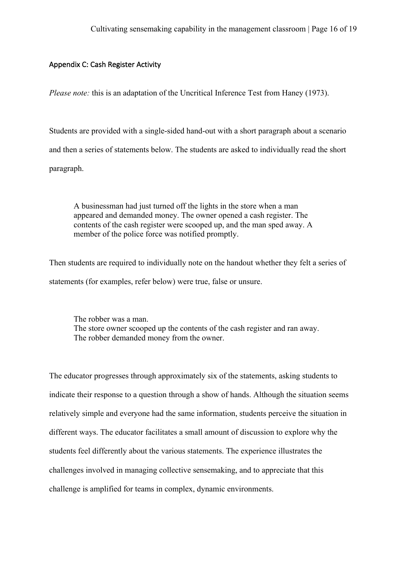#### Appendix C: Cash Register Activity

*Please note:* this is an adaptation of the Uncritical Inference Test from Haney (1973).

Students are provided with a single-sided hand-out with a short paragraph about a scenario and then a series of statements below. The students are asked to individually read the short paragraph.

A businessman had just turned off the lights in the store when a man appeared and demanded money. The owner opened a cash register. The contents of the cash register were scooped up, and the man sped away. A member of the police force was notified promptly.

Then students are required to individually note on the handout whether they felt a series of statements (for examples, refer below) were true, false or unsure.

The robber was a man. The store owner scooped up the contents of the cash register and ran away. The robber demanded money from the owner.

The educator progresses through approximately six of the statements, asking students to indicate their response to a question through a show of hands. Although the situation seems relatively simple and everyone had the same information, students perceive the situation in different ways. The educator facilitates a small amount of discussion to explore why the students feel differently about the various statements. The experience illustrates the challenges involved in managing collective sensemaking, and to appreciate that this challenge is amplified for teams in complex, dynamic environments.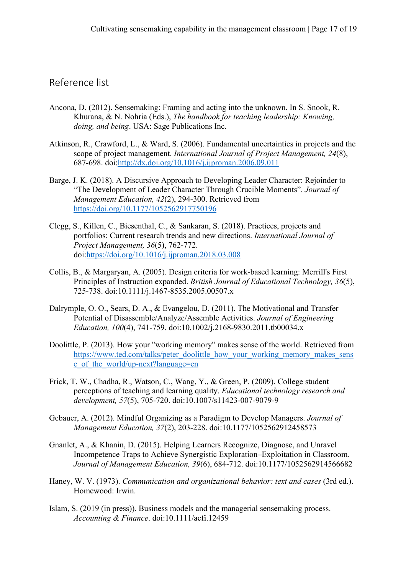# Reference list

- Ancona, D. (2012). Sensemaking: Framing and acting into the unknown. In S. Snook, R. Khurana, & N. Nohria (Eds.), *The handbook for teaching leadership: Knowing, doing, and being*. USA: Sage Publications Inc.
- Atkinson, R., Crawford, L., & Ward, S. (2006). Fundamental uncertainties in projects and the scope of project management. *International Journal of Project Management, 24*(8), 687-698. doi:http://dx.doi.org/10.1016/j.ijproman.2006.09.011
- Barge, J. K. (2018). A Discursive Approach to Developing Leader Character: Rejoinder to "The Development of Leader Character Through Crucible Moments". *Journal of Management Education, 42*(2), 294-300. Retrieved from https://doi.org/10.1177/1052562917750196
- Clegg, S., Killen, C., Biesenthal, C., & Sankaran, S. (2018). Practices, projects and portfolios: Current research trends and new directions. *International Journal of Project Management, 36*(5), 762-772. doi:https://doi.org/10.1016/j.ijproman.2018.03.008
- Collis, B., & Margaryan, A. (2005). Design criteria for work-based learning: Merrill's First Principles of Instruction expanded. *British Journal of Educational Technology, 36*(5), 725-738. doi:10.1111/j.1467-8535.2005.00507.x
- Dalrymple, O. O., Sears, D. A., & Evangelou, D. (2011). The Motivational and Transfer Potential of Disassemble/Analyze/Assemble Activities. *Journal of Engineering Education, 100*(4), 741-759. doi:10.1002/j.2168-9830.2011.tb00034.x
- Doolittle, P. (2013). How your "working memory" makes sense of the world. Retrieved from https://www.ted.com/talks/peter\_doolittle\_how\_your\_working\_memory\_makes\_sens e of the world/up-next?language=en
- Frick, T. W., Chadha, R., Watson, C., Wang, Y., & Green, P. (2009). College student perceptions of teaching and learning quality. *Educational technology research and development, 57*(5), 705-720. doi:10.1007/s11423-007-9079-9
- Gebauer, A. (2012). Mindful Organizing as a Paradigm to Develop Managers. *Journal of Management Education, 37*(2), 203-228. doi:10.1177/1052562912458573
- Gnanlet, A., & Khanin, D. (2015). Helping Learners Recognize, Diagnose, and Unravel Incompetence Traps to Achieve Synergistic Exploration–Exploitation in Classroom. *Journal of Management Education, 39*(6), 684-712. doi:10.1177/1052562914566682
- Haney, W. V. (1973). *Communication and organizational behavior: text and cases* (3rd ed.). Homewood: Irwin.
- Islam, S. (2019 (in press)). Business models and the managerial sensemaking process. *Accounting & Finance*. doi:10.1111/acfi.12459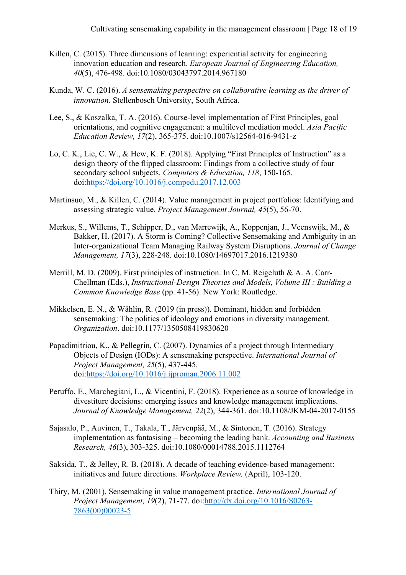- Killen, C. (2015). Three dimensions of learning: experiential activity for engineering innovation education and research. *European Journal of Engineering Education, 40*(5), 476-498. doi:10.1080/03043797.2014.967180
- Kunda, W. C. (2016). *A sensemaking perspective on collaborative learning as the driver of innovation.* Stellenbosch University, South Africa.
- Lee, S., & Koszalka, T. A. (2016). Course-level implementation of First Principles, goal orientations, and cognitive engagement: a multilevel mediation model. *Asia Pacific Education Review, 17*(2), 365-375. doi:10.1007/s12564-016-9431-z
- Lo, C. K., Lie, C. W., & Hew, K. F. (2018). Applying "First Principles of Instruction" as a design theory of the flipped classroom: Findings from a collective study of four secondary school subjects. *Computers & Education, 118*, 150-165. doi:https://doi.org/10.1016/j.compedu.2017.12.003
- Martinsuo, M., & Killen, C. (2014). Value management in project portfolios: Identifying and assessing strategic value. *Project Management Journal, 45*(5), 56-70.
- Merkus, S., Willems, T., Schipper, D., van Marrewijk, A., Koppenjan, J., Veenswijk, M., & Bakker, H. (2017). A Storm is Coming? Collective Sensemaking and Ambiguity in an Inter-organizational Team Managing Railway System Disruptions. *Journal of Change Management, 17*(3), 228-248. doi:10.1080/14697017.2016.1219380
- Merrill, M. D. (2009). First principles of instruction. In C. M. Reigeluth & A. A. Carr-Chellman (Eds.), *Instructional-Design Theories and Models, Volume III : Building a Common Knowledge Base* (pp. 41-56). New York: Routledge.
- Mikkelsen, E. N., & Wåhlin, R. (2019 (in press)). Dominant, hidden and forbidden sensemaking: The politics of ideology and emotions in diversity management. *Organization*. doi:10.1177/1350508419830620
- Papadimitriou, K., & Pellegrin, C. (2007). Dynamics of a project through Intermediary Objects of Design (IODs): A sensemaking perspective. *International Journal of Project Management, 25*(5), 437-445. doi:https://doi.org/10.1016/j.ijproman.2006.11.002
- Peruffo, E., Marchegiani, L., & Vicentini, F. (2018). Experience as a source of knowledge in divestiture decisions: emerging issues and knowledge management implications. *Journal of Knowledge Management, 22*(2), 344-361. doi:10.1108/JKM-04-2017-0155
- Sajasalo, P., Auvinen, T., Takala, T., Järvenpää, M., & Sintonen, T. (2016). Strategy implementation as fantasising – becoming the leading bank. *Accounting and Business Research, 46*(3), 303-325. doi:10.1080/00014788.2015.1112764
- Saksida, T., & Jelley, R. B. (2018). A decade of teaching evidence-based management: initiatives and future directions. *Workplace Review,* (April), 103-120.
- Thiry, M. (2001). Sensemaking in value management practice. *International Journal of Project Management, 19*(2), 71-77. doi:http://dx.doi.org/10.1016/S0263- 7863(00)00023-5